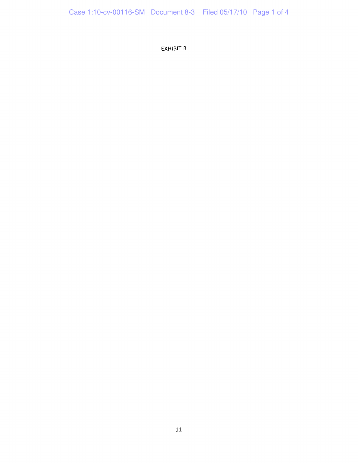EXHIBIT B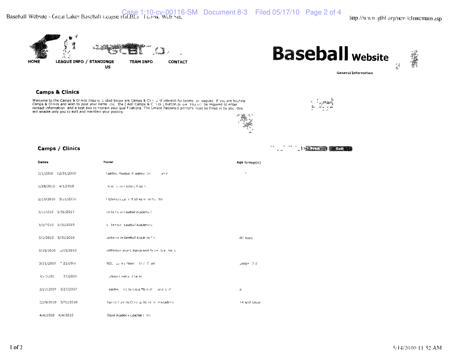



्ल<sub>ा</sub> सम्बद्धाः यो

General Information



**Camps & Clinics** 

Welcome to the Camps & Cinics Inquiry Listed below are Camps & Clinis of interest for teams or leagues. If you are hosting<br>Camps & Clinics and wish to post your name lotic the [Add Camps & Cinics ] button below. You will b will enable only you to edit and maintain your posting





## **Camps / Clinics**

| Dates                    | Name                                              | Age Group(s) |
|--------------------------|---------------------------------------------------|--------------|
| 1/1/2010 12/31/2010      | Stanford Rasebal A ademy Le<br>d'1 P              | $\gamma$     |
| 1/28/2010 4/1/2010       | hike cice+ichina Plogin                           |              |
| 2/15/2010 5/31/2010      | Fitching Lesso is at Strike Hilde Pail and        |              |
| 3/1/2010 5/31/2010       | istrike Folice Easeball Academy C                 |              |
| 3/1/7010 5/31/2010       | 5 ke Ford Basebal Academy C                       |              |
| 3/1/2010 5/31/2010       | Istrike Folice Baseball Acade ny Cir              | All Ages     |
| 3/15/2010 3/15/2010      | UHPerform ance E-thance nent Sc $x + 2x + 10 = 5$ |              |
| 3/21/2010 21/2011        | NDC Julin (Player Time Clade                      | orade 78     |
| 27/2010<br>$1/2$ $1/201$ | uckeye Lasebal - Ficacleri                        |              |
| 3/2//2010 3/27/2010      | oaches in ciby Craig Molo of live a lost          | a            |
| 3/29/2010 3/31/2010      | Spring Flaining Clinic & Strike in le Academy     | 14 and Unde  |
| 4/4/2010 4/4/2010        | Doyle Acaderi y Coaches Cinic                     |              |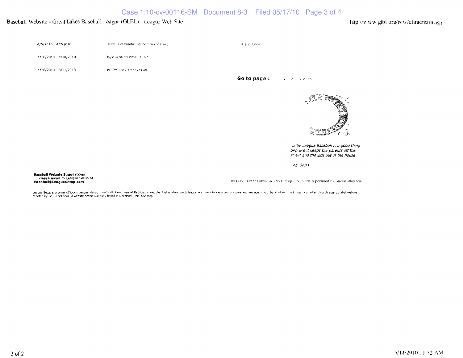## Baseball Website - Great Lakes Baseball League (GLBL) - League Web Site

http://www.glbl.org/new/clinicmain.asp

| 4/5/2010 4/7/2010   | strike in de Basebal. Spiling 1 airling Clinic | 4 and Unde  |                |
|---------------------|------------------------------------------------|-------------|----------------|
| 4/10/2010 4/10/2010 | Doyle Acaderiy Playe's Cilinic                 |             |                |
| 4/26/2010 8/31/2010 | im Kavi unas Hitting Lesion.                   | Go to page: | $2 - 7 - 3739$ |
|                     |                                                |             |                |



Little League Baseball is a good thing because it keeps the parents off the of eet and the kids out of the house

na Beni

**Baseball Website Suggestions** Please email to League Setup at<br>Baseball@LeagueSetup com

The GLBL Great Lakes Dalleball inaguit Mcbute is powered by Feague Setup com-

League Setup is a powerful Sports League Manaq ment and Onine Basebal Regstration webste that enables ports eague vrial eers to eassy comminicate and manage all youl ballebal and lank lank lank in the substration your ball